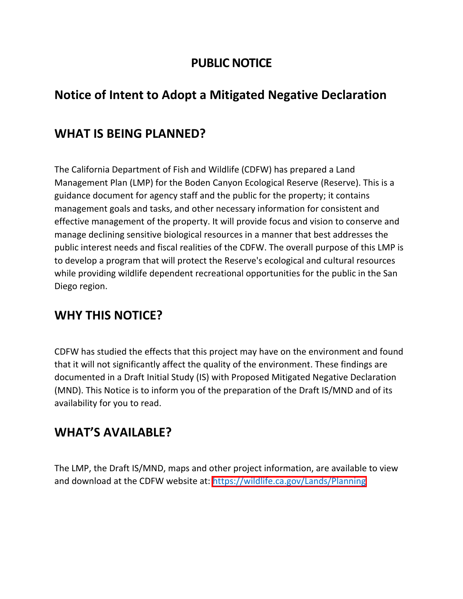#### **PUBLIC NOTICE**

# **Notice of Intent to Adopt a Mitigated Negative Declaration**

## **WHAT IS BEING PLANNED?**

The California Department of Fish and Wildlife (CDFW) has prepared a Land Management Plan (LMP) for the Boden Canyon Ecological Reserve (Reserve). This is a guidance document for agency staff and the public for the property; it contains management goals and tasks, and other necessary information for consistent and effective management of the property. It will provide focus and vision to conserve and manage declining sensitive biological resources in a manner that best addresses the public interest needs and fiscal realities of the CDFW. The overall purpose of this LMP is to develop a program that will protect the Reserve's ecological and cultural resources while providing wildlife dependent recreational opportunities for the public in the San Diego region.

## **WHY THIS NOTICE?**

CDFW has studied the effects that this project may have on the environment and found that it will not significantly affect the quality of the environment. These findings are documented in a Draft Initial Study (IS) with Proposed Mitigated Negative Declaration (MND). This Notice is to inform you of the preparation of the Draft IS/MND and of its availability for you to read.

#### **WHAT'S AVAILABLE?**

The LMP, the Draft IS/MND, maps and other project information, are available to view and download at the CDFW website at:<https://wildlife.ca.gov/Lands/Planning>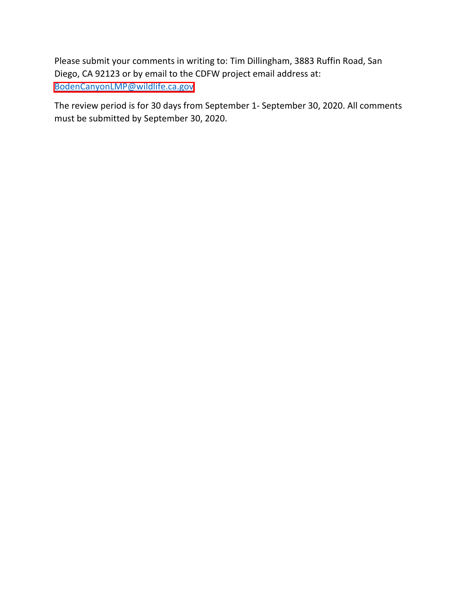Please submit your comments in writing to: Tim Dillingham, 3883 Ruffin Road, San Diego, CA 92123 or by email to the CDFW project email address at: [BodenCanyonLMP@wildlife.ca.gov](mailto:BodenCanyonLMP@wildlife.ca.gov)

The review period is for 30 days from September 1- September 30, 2020. All comments must be submitted by September 30, 2020.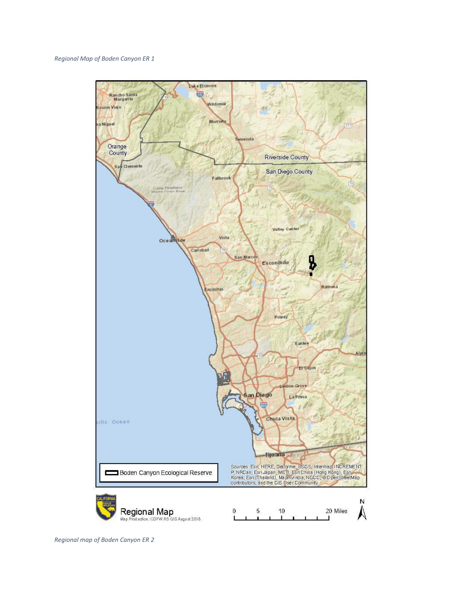

*Regional map of Boden Canyon ER 2*